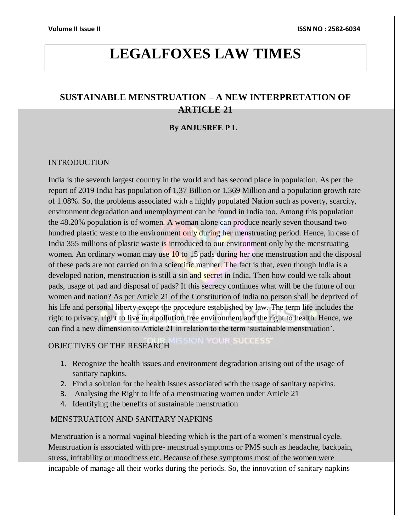# **LEGALFOXES LAW TIMES**

## **SUSTAINABLE MENSTRUATION – A NEW INTERPRETATION OF ARTICLE 21**

### **By ANJUSREE P L**

### INTRODUCTION

India is the seventh largest country in the world and has second place in population. As per the report of 2019 India has population of 1.37 Billion or 1,369 Million and a population growth rate of 1.08%. So, the problems associated with a highly populated Nation such as poverty, scarcity, environment degradation and unemployment can be found in India too. Among this population the 48.20% population is of women. A woman alone can produce nearly seven thousand two hundred plastic waste to the environment only during her menstruating period. Hence, in case of India 355 millions of plastic waste is introduced to our environment only by the menstruating women. An ordinary woman may use 10 to 15 pads during her one menstruation and the disposal of these pads are not carried on in a scientific manner. The fact is that, even though India is a developed nation, menstruation is still a sin and secret in India. Then how could we talk about pads, usage of pad and disposal of pads? If this secrecy continues what will be the future of our women and nation? As per Article 21 of the Constitution of India no person shall be deprived of his life and personal liberty except the procedure established by law. The term life includes the right to privacy, right to live in a pollution free environment and the right to health. Hence, we can find a new dimension to Article 21 in relation to the term 'sustainable menstruation'.

### OBJECTIVES OF THE RESEARCH

1. Recognize the health issues and environment degradation arising out of the usage of sanitary napkins.

**ON YOUR SUCCESS** 

- 2. Find a solution for the health issues associated with the usage of sanitary napkins.
- 3. Analysing the Right to life of a menstruating women under Article 21
- 4. Identifying the benefits of sustainable menstruation

### MENSTRUATION AND SANITARY NAPKINS

Menstruation is a normal vaginal bleeding which is the part of a women's menstrual cycle. Menstruation is associated with pre- menstrual symptoms or PMS such as headache, backpain, stress, irritability or moodiness etc. Because of these symptoms most of the women were incapable of manage all their works during the periods. So, the innovation of sanitary napkins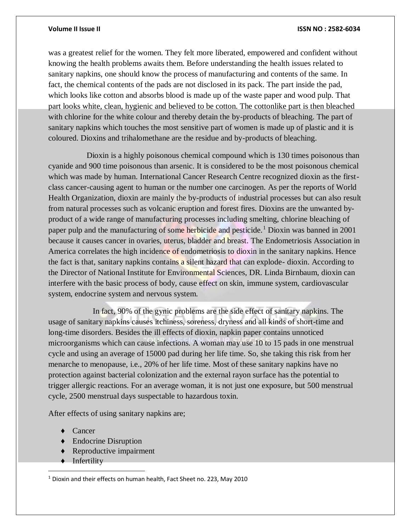was a greatest relief for the women. They felt more liberated, empowered and confident without knowing the health problems awaits them. Before understanding the health issues related to sanitary napkins, one should know the process of manufacturing and contents of the same. In fact, the chemical contents of the pads are not disclosed in its pack. The part inside the pad, which looks like cotton and absorbs blood is made up of the waste paper and wood pulp. That part looks white, clean, hygienic and believed to be cotton. The cottonlike part is then bleached with chlorine for the white colour and thereby detain the by-products of bleaching. The part of sanitary napkins which touches the most sensitive part of women is made up of plastic and it is coloured. Dioxins and trihalomethane are the residue and by-products of bleaching.

 Dioxin is a highly poisonous chemical compound which is 130 times poisonous than cyanide and 900 time poisonous than arsenic. It is considered to be the most poisonous chemical which was made by human. International Cancer Research Centre recognized dioxin as the firstclass cancer-causing agent to human or the number one carcinogen. As per the reports of World Health Organization, dioxin are mainly the by-products of industrial processes but can also result from natural processes such as volcanic eruption and forest fires. Dioxins are the unwanted byproduct of a wide range of manufacturing processes including smelting, chlorine bleaching of paper pulp and the manufacturing of some herbicide and pesticide.<sup>1</sup> Dioxin was banned in 2001 because it causes cancer in ovaries, uterus, bladder and breast. The Endometriosis Association in America correlates the high incidence of endometriosis to dioxin in the sanitary napkins. Hence the fact is that, sanitary napkins contains a silent hazard that can explode- dioxin. According to the Director of National Institute for Environmental Sciences, DR. Linda Birnbaum, dioxin can interfere with the basic process of body, cause effect on skin, immune system, cardiovascular system, endocrine system and nervous system.

 In fact, 90% of the gynic problems are the side effect of sanitary napkins. The usage of sanitary napkins causes itchiness, soreness, dryness and all kinds of short-time and long-time disorders. Besides the ill effects of dioxin, napkin paper contains unnoticed microorganisms which can cause infections. A woman may use 10 to 15 pads in one menstrual cycle and using an average of 15000 pad during her life time. So, she taking this risk from her menarche to menopause, i.e., 20% of her life time. Most of these sanitary napkins have no protection against bacterial colonization and the external rayon surface has the potential to trigger allergic reactions. For an average woman, it is not just one exposure, but 500 menstrual cycle, 2500 menstrual days suspectable to hazardous toxin.

After effects of using sanitary napkins are;

- ♦ Cancer
- ♦ Endocrine Disruption
- ♦ Reproductive impairment
- ♦ Infertility

 $\overline{a}$ 

<sup>1</sup> Dioxin and their effects on human health, Fact Sheet no. 223, May 2010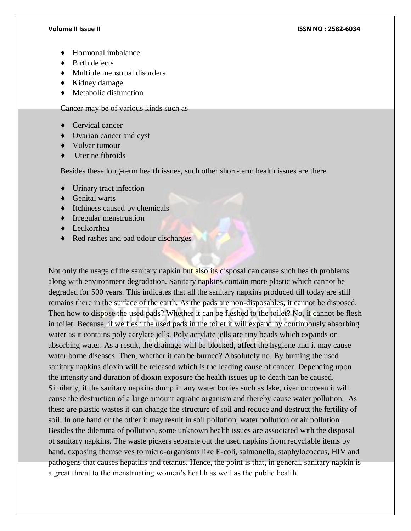- **Hormonal imbalance**
- ♦ Birth defects
- ♦ Multiple menstrual disorders
- ♦ Kidney damage
- $\triangleleft$  Metabolic disfunction

Cancer may be of various kinds such as

- ♦ Cervical cancer
- **Ovarian cancer and cyst**
- ♦ Vulvar tumour
- Uterine fibroids

Besides these long-term health issues, such other short-term health issues are there

- ♦ Urinary tract infection
- ♦ Genital warts
- ♦ Itchiness caused by chemicals
- ♦ Irregular menstruation
- ♦ Leukorrhea
- ♦ Red rashes and bad odour discharges

Not only the usage of the sanitary napkin but also its disposal can cause such health problems along with environment degradation. Sanitary napkins contain more plastic which cannot be degraded for 500 years. This indicates that all the sanitary napkins produced till today are still remains there in the surface of the earth. As the pads are non-disposables, it cannot be disposed. Then how to dispose the used pads? Whether it can be fleshed to the toilet? No, it cannot be flesh in toilet. Because, if we flesh the used pads in the toilet it will expand by continuously absorbing water as it contains poly acrylate jells. Poly acrylate jells are tiny beads which expands on absorbing water. As a result, the drainage will be blocked, affect the hygiene and it may cause water borne diseases. Then, whether it can be burned? Absolutely no. By burning the used sanitary napkins dioxin will be released which is the leading cause of cancer. Depending upon the intensity and duration of dioxin exposure the health issues up to death can be caused. Similarly, if the sanitary napkins dump in any water bodies such as lake, river or ocean it will cause the destruction of a large amount aquatic organism and thereby cause water pollution. As these are plastic wastes it can change the structure of soil and reduce and destruct the fertility of soil. In one hand or the other it may result in soil pollution, water pollution or air pollution. Besides the dilemma of pollution, some unknown health issues are associated with the disposal of sanitary napkins. The waste pickers separate out the used napkins from recyclable items by hand, exposing themselves to micro-organisms like E-coli, salmonella, staphylococcus, HIV and pathogens that causes hepatitis and tetanus. Hence, the point is that, in general, sanitary napkin is a great threat to the menstruating women's health as well as the public health.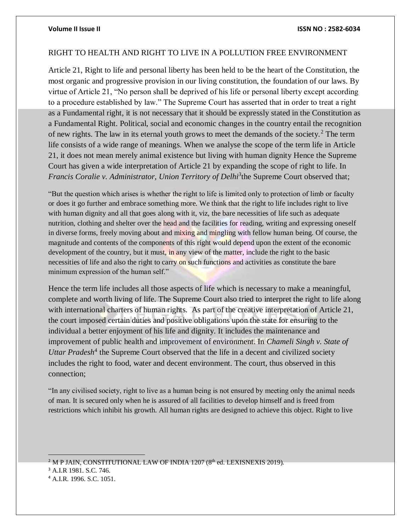### RIGHT TO HEALTH AND RIGHT TO LIVE IN A POLLUTION FREE ENVIRONMENT

Article 21, Right to life and personal liberty has been held to be the heart of the Constitution, the most organic and progressive provision in our living constitution, the foundation of our laws. By virtue of Article 21, "No person shall be deprived of his life or personal liberty except according to a procedure established by law." The Supreme Court has asserted that in order to treat a right as a Fundamental right, it is not necessary that it should be expressly stated in the Constitution as a Fundamental Right. Political, social and economic changes in the country entail the recognition of new rights. The law in its eternal youth grows to meet the demands of the society.<sup>2</sup> The term life consists of a wide range of meanings. When we analyse the scope of the term life in Article 21, it does not mean merely animal existence but living with human dignity Hence the Supreme Court has given a wide interpretation of Article 21 by expanding the scope of right to life. In Francis Coralie v. Administrator, Union Territory of Delhi<sup>3</sup>the Supreme Court observed that;

"But the question which arises is whether the right to life is limited only to protection of limb or faculty or does it go further and embrace something more. We think that the right to life includes right to live with human dignity and all that goes along with it, viz, the bare necessities of life such as adequate nutrition, clothing and shelter over the head and the facilities for reading, writing and expressing oneself in diverse forms, freely moving about and mixing and mingling with fellow human being. Of course, the magnitude and contents of the components of this right would depend upon the extent of the economic development of the country, but it must, in any view of the matter, include the right to the basic necessities of life and also the right to carry on such functions and activities as constitute the bare minimum expression of the human self."

Hence the term life includes all those aspects of life which is necessary to make a meaningful, complete and worth living of life. The Supreme Court also tried to interpret the right to life along with international charters of human rights. As part of the creative interpretation of Article 21, the court imposed certain duties and positive obligations upon the state for ensuring to the individual a better enjoyment of his life and dignity. It includes the maintenance and improvement of public health and improvement of environment. In *Chameli Singh v. State of*  Uttar Pradesh<sup>4</sup> the Supreme Court observed that the life in a decent and civilized society includes the right to food, water and decent environment. The court, thus observed in this connection;

"In any civilised society, right to live as a human being is not ensured by meeting only the animal needs of man. It is secured only when he is assured of all facilities to develop himself and is freed from restrictions which inhibit his growth. All human rights are designed to achieve this object. Right to live

<sup>2</sup> M P JAIN, CONSTITUTIONAL LAW OF INDIA 1207 (8<sup>th</sup> ed. LEXISNEXIS 2019).

<sup>3</sup> A.I.R 1981. S.C. 746.

<sup>4</sup> A.I.R. 1996. S.C. 1051.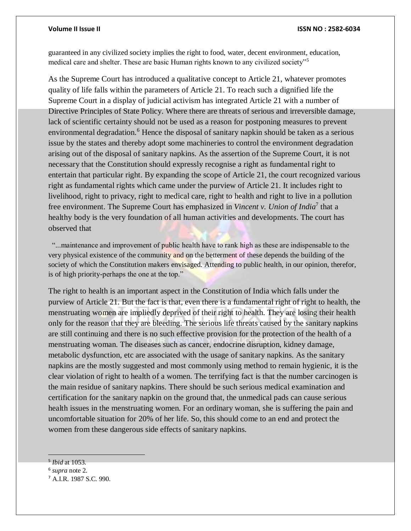guaranteed in any civilized society implies the right to food, water, decent environment, education, medical care and shelter. These are basic Human rights known to any civilized society"<sup>5</sup>

As the Supreme Court has introduced a qualitative concept to Article 21, whatever promotes quality of life falls within the parameters of Article 21. To reach such a dignified life the Supreme Court in a display of judicial activism has integrated Article 21 with a number of Directive Principles of State Policy. Where there are threats of serious and irreversible damage, lack of scientific certainty should not be used as a reason for postponing measures to prevent environmental degradation.<sup>6</sup> Hence the disposal of sanitary napkin should be taken as a serious issue by the states and thereby adopt some machineries to control the environment degradation arising out of the disposal of sanitary napkins. As the assertion of the Supreme Court, it is not necessary that the Constitution should expressly recognise a right as fundamental right to entertain that particular right. By expanding the scope of Article 21, the court recognized various right as fundamental rights which came under the purview of Article 21. It includes right to livelihood, right to privacy, right to medical care, right to health and right to live in a pollution free environment. The Supreme Court has emphasized in *Vincent v. Union of India*<sup>7</sup> that a healthy body is the very foundation of all human activities and developments. The court has observed that

"...maintenance and improvement of public health have to rank high as these are indispensable to the very physical existence of the community and on the betterment of these depends the building of the society of which the Constitution makers envisaged. Attending to public health, in our opinion, therefor, is of high priority-perhaps the one at the top."

The right to health is an important aspect in the Constitution of India which falls under the purview of Article 21. But the fact is that, even there is a fundamental right of right to health, the menstruating women are impliedly deprived of their right to health. They are losing their health only for the reason that they are bleeding. The serious life threats caused by the sanitary napkins are still continuing and there is no such effective provision for the protection of the health of a menstruating woman. The diseases such as cancer, endocrine disruption, kidney damage, metabolic dysfunction, etc are associated with the usage of sanitary napkins. As the sanitary napkins are the mostly suggested and most commonly using method to remain hygienic, it is the clear violation of right to health of a women. The terrifying fact is that the number carcinogen is the main residue of sanitary napkins. There should be such serious medical examination and certification for the sanitary napkin on the ground that, the unmedical pads can cause serious health issues in the menstruating women. For an ordinary woman, she is suffering the pain and uncomfortable situation for 20% of her life. So, this should come to an end and protect the women from these dangerous side effects of sanitary napkins.

<sup>5</sup> *Ibid* at 1053.

<sup>6</sup> *supra* note 2.

<sup>7</sup> A.I.R. 1987 S.C. 990.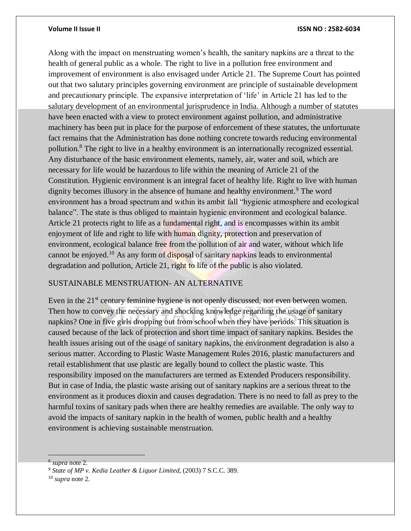Along with the impact on menstruating women's health, the sanitary napkins are a threat to the health of general public as a whole. The right to live in a pollution free environment and improvement of environment is also envisaged under Article 21. The Supreme Court has pointed out that two salutary principles governing environment are principle of sustainable development and precautionary principle. The expansive interpretation of 'life' in Article 21 has led to the salutary development of an environmental jurisprudence in India. Although a number of statutes have been enacted with a view to protect environment against pollution, and administrative machinery has been put in place for the purpose of enforcement of these statutes, the unfortunate fact remains that the Administration has done nothing concrete towards reducing environmental pollution.<sup>8</sup> The right to live in a healthy environment is an internationally recognized essential. Any disturbance of the basic environment elements, namely, air, water and soil, which are necessary for life would be hazardous to life within the meaning of Article 21 of the Constitution. Hygienic environment is an integral facet of healthy life. Right to live with human dignity becomes illusory in the absence of humane and healthy environment.<sup>9</sup> The word environment has a broad spectrum and within its ambit fall "hygienic atmosphere and ecological balance". The state is thus obliged to maintain hygienic environment and ecological balance. Article 21 protects right to life as a fundamental right, and is encompasses within its ambit enjoyment of life and right to life with human dignity, protection and preservation of environment, ecological balance free from the pollution of air and water, without which life cannot be enjoyed.<sup>10</sup> As any form of disposal of sanitary napkins leads to environmental degradation and pollution, Article 21, right to life of the public is also violated.

### SUSTAINABLE MENSTRUATION- AN ALTERNATIVE

Even in the 21<sup>st</sup> century feminine hygiene is not openly discussed, not even between women. Then how to convey the necessary and shocking knowledge regarding the usage of sanitary napkins? One in five girls dropping out from school when they have periods. This situation is caused because of the lack of protection and short time impact of sanitary napkins. Besides the health issues arising out of the usage of sanitary napkins, the environment degradation is also a serious matter. According to Plastic Waste Management Rules 2016, plastic manufacturers and retail establishment that use plastic are legally bound to collect the plastic waste. This responsibility imposed on the manufacturers are termed as Extended Producers responsibility. But in case of India, the plastic waste arising out of sanitary napkins are a serious threat to the environment as it produces dioxin and causes degradation. There is no need to fall as prey to the harmful toxins of sanitary pads when there are healthy remedies are available. The only way to avoid the impacts of sanitary napkin in the health of women, public health and a healthy environment is achieving sustainable menstruation.

<sup>10</sup> *supra* note 2.

<sup>8</sup> *supra* note 2.

<sup>9</sup> *State of MP v. Kedia Leather & Liquor Limited,* (2003) 7 S.C.C. 389.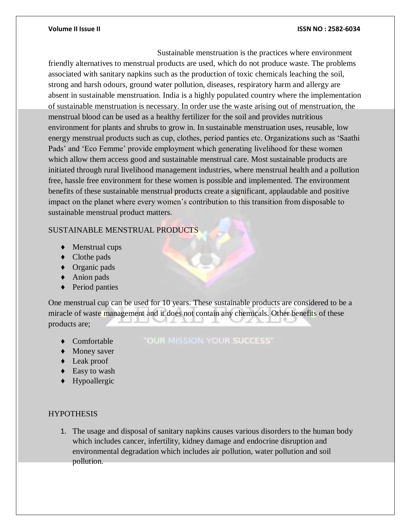Sustainable menstruation is the practices where environment friendly alternatives to menstrual products are used, which do not produce waste. The problems associated with sanitary napkins such as the production of toxic chemicals leaching the soil, strong and harsh odours, ground water pollution, diseases, respiratory harm and allergy are absent in sustainable menstruation. India is a highly populated country where the implementation of sustainable menstruation is necessary. In order use the waste arising out of menstruation, the menstrual blood can be used as a healthy fertilizer for the soil and provides nutritious environment for plants and shrubs to grow in. In sustainable menstruation uses, reusable, low energy menstrual products such as cup, clothes, period panties etc. Organizations such as 'Saathi Pads' and 'Eco Femme' provide employment which generating livelihood for these women which allow them access good and sustainable menstrual care. Most sustainable products are initiated through rural livelihood management industries, where menstrual health and a pollution free, hassle free environment for these women is possible and implemented. The environment benefits of these sustainable menstrual products create a significant, applaudable and positive impact on the planet where every women's contribution to this transition from disposable to sustainable menstrual product matters.

### SUSTAINABLE MENSTRUAL PRODUCTS

- ♦ Menstrual cups
- ♦ Clothe pads
- ♦ Organic pads
- ♦ Anion pads
- ♦ Period panties

One menstrual cup can be used for 10 years. These sustainable products are considered to be a miracle of waste management and it does not contain any chemicals. Other benefits of these products are;

**Comfortable** 

### "OUR MISSION YOUR SUCCESS"

- ♦ Money saver
- ♦ Leak proof
- ◆ Easy to wash
- ♦ Hypoallergic

### **HYPOTHESIS**

1. The usage and disposal of sanitary napkins causes various disorders to the human body which includes cancer, infertility, kidney damage and endocrine disruption and environmental degradation which includes air pollution, water pollution and soil pollution.